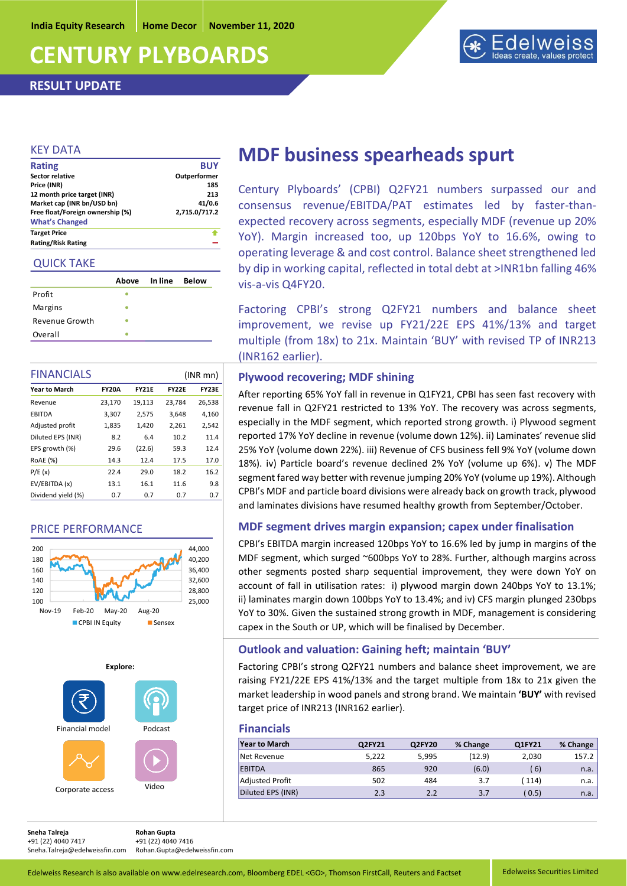**India Equity Research Home Decor November 11, 2020**

# **CENTURY PLYBOARDS**

**RESULT UPDATE**



#### KEY DATA

| <b>Rating/Risk Rating</b>        |               |
|----------------------------------|---------------|
| <b>Target Price</b>              |               |
| <b>What's Changed</b>            |               |
| Free float/Foreign ownership (%) | 2,715.0/717.2 |
| Market cap (INR bn/USD bn)       | 41/0.6        |
| 12 month price target (INR)      | 213           |
| Price (INR)                      | 185           |
| Sector relative                  | Outperformer  |
| <b>Rating</b>                    | <b>BUY</b>    |
|                                  |               |

#### QUICK TAKE

|                | Above | In line | <b>Below</b> |
|----------------|-------|---------|--------------|
| Profit         |       |         |              |
| Margins        |       |         |              |
| Revenue Growth |       |         |              |
| Overall        |       |         |              |

| <b>FINANCIALS</b><br>$(INR$ mn $)$ |              |              |              |              |
|------------------------------------|--------------|--------------|--------------|--------------|
| <b>Year to March</b>               | <b>FY20A</b> | <b>FY21E</b> | <b>FY22E</b> | <b>FY23E</b> |
| Revenue                            | 23,170       | 19,113       | 23,784       | 26,538       |
| <b>EBITDA</b>                      | 3,307        | 2,575        | 3,648        | 4,160        |
| Adjusted profit                    | 1,835        | 1,420        | 2,261        | 2,542        |
| Diluted EPS (INR)                  | 8.2          | 6.4          | 10.2         | 11.4         |
| EPS growth (%)                     | 29.6         | (22.6)       | 59.3         | 12.4         |
| <b>ROAE</b> (%)                    | 14.3         | 12.4         | 17.5         | 17.0         |
| P/E(x)                             | 22.4         | 29.0         | 18.2         | 16.2         |
| EV/EBITDA (x)                      | 13.1         | 16.1         | 11.6         | 9.8          |
| Dividend yield (%)                 | 0.7          | 0.7          | 0.7          | 0.7          |

## PRICE PERFORMANCE





## **MDF business spearheads spurt**

Century Plyboards' (CPBI) Q2FY21 numbers surpassed our and consensus revenue/EBITDA/PAT estimates led by faster-thanexpected recovery across segments, especially MDF (revenue up 20% YoY). Margin increased too, up 120bps YoY to 16.6%, owing to operating leverage & and cost control. Balance sheet strengthened led by dip in working capital, reflected in total debt at >INR1bn falling 46% vis-a-vis Q4FY20.

Factoring CPBI's strong Q2FY21 numbers and balance sheet improvement, we revise up FY21/22E EPS 41%/13% and target multiple (from 18x) to 21x. Maintain 'BUY' with revised TP of INR213 (INR162 earlier).

#### **Plywood recovering; MDF shining**

After reporting 65% YoY fall in revenue in Q1FY21, CPBI has seen fast recovery with revenue fall in Q2FY21 restricted to 13% YoY. The recovery was across segments, especially in the MDF segment, which reported strong growth. i) Plywood segment reported 17% YoY decline in revenue (volume down 12%). ii) Laminates' revenue slid 25% YoY (volume down 22%). iii) Revenue of CFS business fell 9% YoY (volume down 18%). iv) Particle board's revenue declined 2% YoY (volume up 6%). v) The MDF segment fared way better with revenue jumping 20% YoY (volume up 19%). Although CPBI's MDF and particle board divisions were already back on growth track, plywood and laminates divisions have resumed healthy growth from September/October.

## **MDF segment drives margin expansion; capex under finalisation**

CPBI's EBITDA margin increased 120bps YoY to 16.6% led by jump in margins of the MDF segment, which surged ~600bps YoY to 28%. Further, although margins across other segments posted sharp sequential improvement, they were down YoY on account of fall in utilisation rates: i) plywood margin down 240bps YoY to 13.1%; ii) laminates margin down 100bps YoY to 13.4%; and iv) CFS margin plunged 230bps YoY to 30%. Given the sustained strong growth in MDF, management is considering capex in the South or UP, which will be finalised by December.

## **Outlook and valuation: Gaining heft; maintain 'BUY'**

Factoring CPBI's strong Q2FY21 numbers and balance sheet improvement, we are raising FY21/22E EPS 41%/13% and the target multiple from 18x to 21x given the market leadership in wood panels and strong brand. We maintain **'BUY'** with revised target price of INR213 (INR162 earlier).

#### **Financials**

| <b>Year to March</b>   | Q2FY21 | Q2FY20 | % Change | Q1FY21 | % Change |
|------------------------|--------|--------|----------|--------|----------|
| Net Revenue            | 5.222  | 5.995  | (12.9)   | 2,030  | 157.2    |
| <b>EBITDA</b>          | 865    | 920    | (6.0)    | 6)     | n.a.     |
| <b>Adjusted Profit</b> | 502    | 484    | 3.7      | (114)  | n.a.     |
| Diluted EPS (INR)      | 2.3    | 2.2    | 3.7      | (0.5)  | n.a.     |

**Sneha Talreja Rohan Gupta**  +91 (22) 4040 7417 +91 (22) 4040 7416<br>Sneha.Talreia@edelweissfin.com Rohan.Gupta@edelweissfin.com

Sneha.Talreja@edelweissfin.com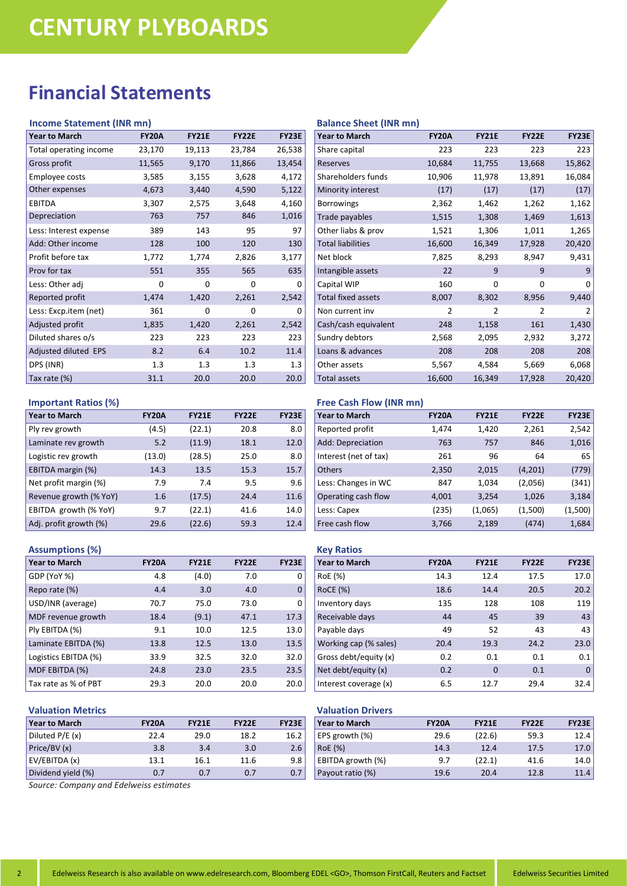# **Financial Statements**

#### **Income Statement (INR mn)**

| <b>Year to March</b>   | <b>FY20A</b> | <b>FY21E</b> | <b>FY22E</b> | <b>FY23E</b> |
|------------------------|--------------|--------------|--------------|--------------|
| Total operating income | 23,170       | 19,113       | 23,784       | 26,538       |
| Gross profit           | 11,565       | 9,170        | 11,866       | 13,454       |
| Employee costs         | 3,585        | 3,155        | 3,628        | 4,172        |
| Other expenses         | 4,673        | 3,440        | 4,590        | 5,122        |
| <b>EBITDA</b>          | 3,307        | 2,575        | 3,648        | 4,160        |
| Depreciation           | 763          | 757          | 846          | 1,016        |
| Less: Interest expense | 389          | 143          | 95           | 97           |
| Add: Other income      | 128          | 100          | 120          | 130          |
| Profit before tax      | 1,772        | 1,774        | 2,826        | 3,177        |
| Prov for tax           | 551          | 355          | 565          | 635          |
| Less: Other adj        | 0            | 0            | O            | ი            |
| Reported profit        | 1,474        | 1,420        | 2,261        | 2,542        |
| Less: Excp.item (net)  | 361          | 0            | O            | Ω            |
| Adjusted profit        | 1,835        | 1,420        | 2,261        | 2,542        |
| Diluted shares o/s     | 223          | 223          | 223          | 223          |
| Adjusted diluted EPS   | 8.2          | 6.4          | 10.2         | 11.4         |
| DPS (INR)              | 1.3          | 1.3          | 1.3          | 1.3          |
| Tax rate (%)           | 31.1         | 20.0         | 20.0         | 20.0         |

#### **Important Ratios (%)**

| <b>Year to March</b>   | <b>FY20A</b> | <b>FY21E</b> | <b>FY22E</b> | <b>FY23E</b> |
|------------------------|--------------|--------------|--------------|--------------|
| Ply rev growth         | (4.5)        | (22.1)       | 20.8         | 8.0          |
| Laminate rev growth    | 5.2          | (11.9)       | 18.1         | 12.0         |
| Logistic rev growth    | (13.0)       | (28.5)       | 25.0         | 8.0          |
| EBITDA margin (%)      | 14.3         | 13.5         | 15.3         | 15.7         |
| Net profit margin (%)  | 7.9          | 7.4          | 9.5          | 9.6          |
| Revenue growth (% YoY) | 1.6          | (17.5)       | 24.4         | 11.6         |
| EBITDA growth (% YoY)  | 9.7          | (22.1)       | 41.6         | 14.0         |
| Adj. profit growth (%) | 29.6         | (22.6)       | 59.3         | 12.4         |

#### **Assumptions (%)**

| <b>Year to March</b> | <b>FY20A</b> | <b>FY21E</b> | <b>FY22E</b> | <b>FY23E</b> |
|----------------------|--------------|--------------|--------------|--------------|
| GDP (YoY %)          | 4.8          | (4.0)        | 7.0          | 0            |
| Repo rate (%)        | 4.4          | 3.0          | 4.0          | $\Omega$     |
| USD/INR (average)    | 70.7         | 75.0         | 73.0         | 0            |
| MDF revenue growth   | 18.4         | (9.1)        | 47.1         | 17.3         |
| Ply EBITDA (%)       | 9.1          | 10.0         | 12.5         | 13.0         |
| Laminate EBITDA (%)  | 13.8         | 12.5         | 13.0         | 13.5         |
| Logistics EBITDA (%) | 33.9         | 32.5         | 32.0         | 32.0         |
| MDF EBITDA (%)       | 24.8         | 23.0         | 23.5         | 23.5         |
| Tax rate as % of PBT | 29.3         | 20.0         | 20.0         | 20.0         |

## **Valuation Metrics**

| <b>Year to March</b> | <b>FY20A</b> | <b>FY21E</b> | <b>FY22E</b> | <b>FY23E</b> |
|----------------------|--------------|--------------|--------------|--------------|
| Diluted P/E (x)      | 22.4         | 29.0         | 18.2         | 16.2         |
| Price/BV (x)         | 3.8          | 3.4          | 3.0          | 2.6          |
| EV/EBITDA (x)        | 13.1         | 16.1         | 11.6         | 9.8          |
| Dividend yield (%)   | 0.7          | 0.7          | 0.7          | 0.7          |

#### **Balance Sheet (INR mn)**

| <b>Year to March</b>      | <b>FY20A</b>   | <b>FY21E</b>   | <b>FY22E</b>   | <b>FY23E</b> |
|---------------------------|----------------|----------------|----------------|--------------|
| Share capital             | 223            | 223            | 223            | 223          |
| <b>Reserves</b>           | 10,684         | 11,755         | 13,668         | 15,862       |
| Shareholders funds        | 10,906         | 11,978         | 13,891         | 16,084       |
| Minority interest         | (17)           | (17)           | (17)           | (17)         |
| <b>Borrowings</b>         | 2,362          | 1,462          | 1,262          | 1,162        |
| Trade payables            | 1,515          | 1,308          | 1,469          | 1,613        |
| Other liabs & prov        | 1,521          | 1,306          | 1,011          | 1,265        |
| <b>Total liabilities</b>  | 16,600         | 16,349         | 17,928         | 20,420       |
| Net block                 | 7,825          | 8,293          | 8,947          | 9,431        |
| Intangible assets         | 22             | 9              | 9              | 9            |
| Capital WIP               | 160            | 0              | 0              | 0            |
| <b>Total fixed assets</b> | 8,007          | 8,302          | 8,956          | 9,440        |
| Non current inv           | $\overline{2}$ | $\mathfrak{p}$ | $\mathfrak{p}$ | 2            |
| Cash/cash equivalent      | 248            | 1,158          | 161            | 1,430        |
| Sundry debtors            | 2,568          | 2,095          | 2,932          | 3,272        |
| Loans & advances          | 208            | 208            | 208            | 208          |
| Other assets              | 5,567          | 4,584          | 5,669          | 6,068        |
| <b>Total assets</b>       | 16,600         | 16,349         | 17,928         | 20,420       |

### **Free Cash Flow (INR mn)**

| <b>Year to March</b>  | <b>FY20A</b> | <b>FY21E</b> | <b>FY22E</b> | <b>FY23E</b> |
|-----------------------|--------------|--------------|--------------|--------------|
| Reported profit       | 1,474        | 1,420        | 2,261        | 2,542        |
| Add: Depreciation     | 763          | 757          | 846          | 1,016        |
| Interest (net of tax) | 261          | 96           | 64           | 65           |
| <b>Others</b>         | 2,350        | 2,015        | (4,201)      | (779)        |
| Less: Changes in WC   | 847          | 1,034        | (2,056)      | (341)        |
| Operating cash flow   | 4,001        | 3,254        | 1,026        | 3,184        |
| Less: Capex           | (235)        | (1,065)      | (1,500)      | (1,500)      |
| Free cash flow        | 3,766        | 2,189        | (474)        | 1,684        |

### **Key Ratios Year to March FY20A FY21E FY22E FY23E** RoE (%) 14.3 12.4 17.5 17.0 RoCE (%) 18.6 14.4 20.5 20.2 Inventory days 135 128 108 119<br>
Receivable days 144 145 39 143 Receivable days

| neceivable days       | 44   | 4.)  | 33   | 43.  |
|-----------------------|------|------|------|------|
| Payable days          | 49   | 52   | 43   | 43   |
| Working cap (% sales) | 20.4 | 19.3 | 24.2 | 23.0 |
| Gross debt/equity (x) | 0.2  | 0.1  | 0.1  | 0.1  |
| Net debt/equity (x)   | 0.2  | 0    | 0.1  | 0    |
| Interest coverage (x) | 6.5  | 12.7 | 29.4 | 32.4 |

#### **Valuation Drivers**

| <b>Year to March</b> | <b>FY20A</b> | <b>FY21E</b> | <b>FY22E</b> | <b>FY23E</b> |
|----------------------|--------------|--------------|--------------|--------------|
| EPS growth (%)       | 29.6         | (22.6)       | 59.3         | 12.4         |
| RoE (%)              | 14.3         | 12.4         | 17.5         | 17.0         |
| EBITDA growth (%)    | 9.7          | (22.1)       | 41.6         | 14.0         |
| Payout ratio (%)     | 19.6         | 20.4         | 12.8         | 11.4         |

*Source: Company and Edelweiss estimates*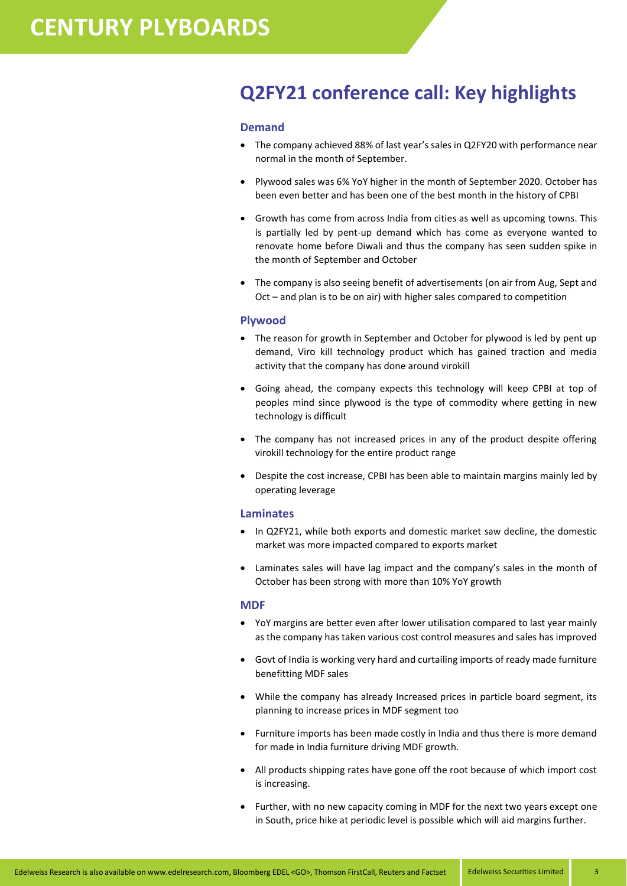# **Q2FY21 conference call: Key highlights**

#### **Demand**

- The company achieved 88% of last year's sales in Q2FY20 with performance near normal in the month of September.
- Plywood sales was 6% YoY higher in the month of September 2020. October has been even better and has been one of the best month in the history of CPBI
- Growth has come from across India from cities as well as upcoming towns. This is partially led by pent-up demand which has come as everyone wanted to renovate home before Diwali and thus the company has seen sudden spike in the month of September and October
- The company is also seeing benefit of advertisements (on air from Aug, Sept and Oct – and plan is to be on air) with higher sales compared to competition

#### **Plywood**

- The reason for growth in September and October for plywood is led by pent up demand, Viro kill technology product which has gained traction and media activity that the company has done around virokill
- Going ahead, the company expects this technology will keep CPBI at top of peoples mind since plywood is the type of commodity where getting in new technology is difficult
- The company has not increased prices in any of the product despite offering virokill technology for the entire product range
- Despite the cost increase, CPBI has been able to maintain margins mainly led by operating leverage

#### **Laminates**

- In Q2FY21, while both exports and domestic market saw decline, the domestic market was more impacted compared to exports market
- Laminates sales will have lag impact and the company's sales in the month of October has been strong with more than 10% YoY growth

#### **MDF**

- YoY margins are better even after lower utilisation compared to last year mainly as the company has taken various cost control measures and sales has improved
- Govt of India is working very hard and curtailing imports of ready made furniture benefitting MDF sales
- While the company has already Increased prices in particle board segment, its planning to increase prices in MDF segment too
- Furniture imports has been made costly in India and thus there is more demand for made in India furniture driving MDF growth.
- All products shipping rates have gone off the root because of which import cost is increasing.
- Further, with no new capacity coming in MDF for the next two years except one in South, price hike at periodic level is possible which will aid margins further.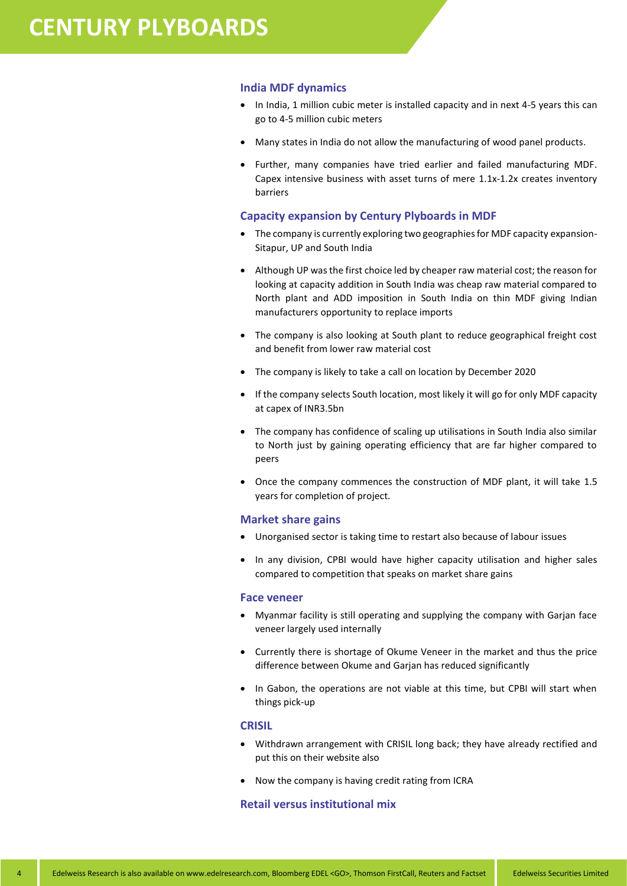#### **India MDF dynamics**

- In India, 1 million cubic meter is installed capacity and in next 4-5 years this can go to 4-5 million cubic meters
- Many states in India do not allow the manufacturing of wood panel products.
- Further, many companies have tried earlier and failed manufacturing MDF. Capex intensive business with asset turns of mere 1.1x-1.2x creates inventory barriers

#### **Capacity expansion by Century Plyboards in MDF**

- The company is currently exploring two geographies for MDF capacity expansion-Sitapur, UP and South India
- Although UP was the first choice led by cheaper raw material cost; the reason for looking at capacity addition in South India was cheap raw material compared to North plant and ADD imposition in South India on thin MDF giving Indian manufacturers opportunity to replace imports
- The company is also looking at South plant to reduce geographical freight cost and benefit from lower raw material cost
- The company is likely to take a call on location by December 2020
- If the company selects South location, most likely it will go for only MDF capacity at capex of INR3.5bn
- The company has confidence of scaling up utilisations in South India also similar to North just by gaining operating efficiency that are far higher compared to peers
- Once the company commences the construction of MDF plant, it will take 1.5 years for completion of project.

#### **Market share gains**

- Unorganised sector is taking time to restart also because of labour issues
- In any division, CPBI would have higher capacity utilisation and higher sales compared to competition that speaks on market share gains

#### **Face veneer**

- Myanmar facility is still operating and supplying the company with Garjan face veneer largely used internally
- Currently there is shortage of Okume Veneer in the market and thus the price difference between Okume and Garjan has reduced significantly
- In Gabon, the operations are not viable at this time, but CPBI will start when things pick-up

#### **CRISIL**

- Withdrawn arrangement with CRISIL long back; they have already rectified and put this on their website also
- Now the company is having credit rating from ICRA

#### **Retail versus institutional mix**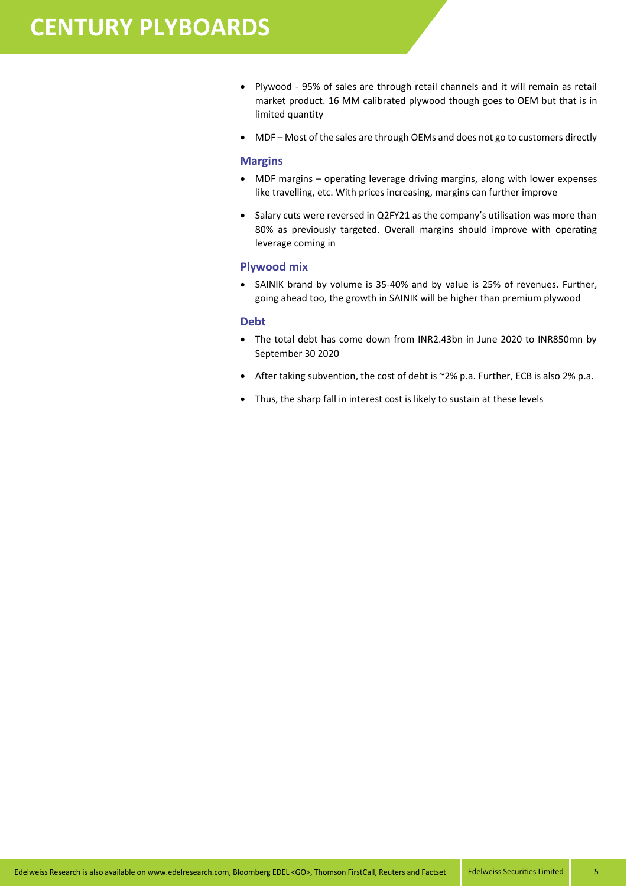- Plywood 95% of sales are through retail channels and it will remain as retail market product. 16 MM calibrated plywood though goes to OEM but that is in limited quantity
- MDF Most of the sales are through OEMs and does not go to customers directly

#### **Margins**

- MDF margins operating leverage driving margins, along with lower expenses like travelling, etc. With prices increasing, margins can further improve
- Salary cuts were reversed in Q2FY21 as the company's utilisation was more than 80% as previously targeted. Overall margins should improve with operating leverage coming in

#### **Plywood mix**

 SAINIK brand by volume is 35-40% and by value is 25% of revenues. Further, going ahead too, the growth in SAINIK will be higher than premium plywood

#### **Debt**

- The total debt has come down from INR2.43bn in June 2020 to INR850mn by September 30 2020
- After taking subvention, the cost of debt is ~2% p.a. Further, ECB is also 2% p.a.
- Thus, the sharp fall in interest cost is likely to sustain at these levels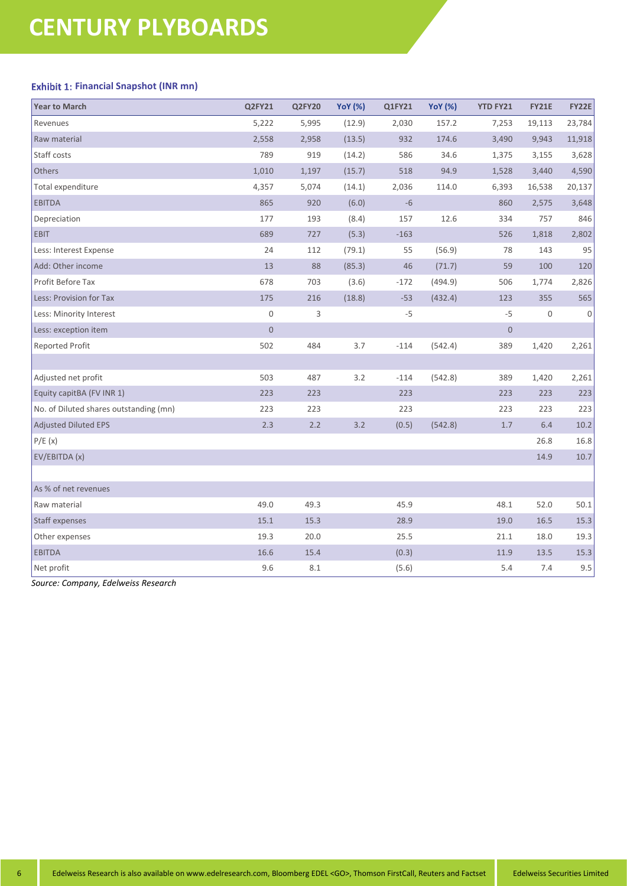## **Exhibit 1: Financial Snapshot (INR mn)**

| <b>Year to March</b>                   | Q2FY21      | Q2FY20 | <b>YoY</b> (%) | Q1FY21 | <b>YoY</b> (%) | <b>YTD FY21</b> | <b>FY21E</b> | <b>FY22E</b> |
|----------------------------------------|-------------|--------|----------------|--------|----------------|-----------------|--------------|--------------|
| Revenues                               | 5,222       | 5,995  | (12.9)         | 2,030  | 157.2          | 7,253           | 19,113       | 23,784       |
| Raw material                           | 2,558       | 2,958  | (13.5)         | 932    | 174.6          | 3,490           | 9,943        | 11,918       |
| Staff costs                            | 789         | 919    | (14.2)         | 586    | 34.6           | 1,375           | 3,155        | 3,628        |
| Others                                 | 1,010       | 1,197  | (15.7)         | 518    | 94.9           | 1,528           | 3,440        | 4,590        |
| Total expenditure                      | 4,357       | 5,074  | (14.1)         | 2,036  | 114.0          | 6,393           | 16,538       | 20,137       |
| <b>EBITDA</b>                          | 865         | 920    | (6.0)          | $-6$   |                | 860             | 2,575        | 3,648        |
| Depreciation                           | 177         | 193    | (8.4)          | 157    | 12.6           | 334             | 757          | 846          |
| EBIT                                   | 689         | 727    | (5.3)          | $-163$ |                | 526             | 1,818        | 2,802        |
| Less: Interest Expense                 | 24          | 112    | (79.1)         | 55     | (56.9)         | 78              | 143          | 95           |
| Add: Other income                      | 13          | 88     | (85.3)         | 46     | (71.7)         | 59              | 100          | 120          |
| Profit Before Tax                      | 678         | 703    | (3.6)          | $-172$ | (494.9)        | 506             | 1,774        | 2,826        |
| Less: Provision for Tax                | 175         | 216    | (18.8)         | $-53$  | (432.4)        | 123             | 355          | 565          |
| Less: Minority Interest                | 0           | 3      |                | $-5$   |                | $-5$            | $\mathbf 0$  | 0            |
| Less: exception item                   | $\mathbf 0$ |        |                |        |                | $\bf 0$         |              |              |
| <b>Reported Profit</b>                 | 502         | 484    | 3.7            | $-114$ | (542.4)        | 389             | 1,420        | 2,261        |
|                                        |             |        |                |        |                |                 |              |              |
| Adjusted net profit                    | 503         | 487    | 3.2            | $-114$ | (542.8)        | 389             | 1,420        | 2,261        |
| Equity capitBA (FV INR 1)              | 223         | 223    |                | 223    |                | 223             | 223          | 223          |
| No. of Diluted shares outstanding (mn) | 223         | 223    |                | 223    |                | 223             | 223          | 223          |
| Adjusted Diluted EPS                   | 2.3         | $2.2$  | 3.2            | (0.5)  | (542.8)        | 1.7             | 6.4          | 10.2         |
| P/E(x)                                 |             |        |                |        |                |                 | 26.8         | 16.8         |
| EV/EBITDA (x)                          |             |        |                |        |                |                 | 14.9         | 10.7         |
|                                        |             |        |                |        |                |                 |              |              |
| As % of net revenues                   |             |        |                |        |                |                 |              |              |
| Raw material                           | 49.0        | 49.3   |                | 45.9   |                | 48.1            | 52.0         | 50.1         |
| Staff expenses                         | 15.1        | 15.3   |                | 28.9   |                | 19.0            | 16.5         | 15.3         |
| Other expenses                         | 19.3        | 20.0   |                | 25.5   |                | 21.1            | 18.0         | 19.3         |
| <b>EBITDA</b>                          | 16.6        | 15.4   |                | (0.3)  |                | 11.9            | 13.5         | 15.3         |
| Net profit                             | 9.6         | 8.1    |                | (5.6)  |                | 5.4             | 7.4          | 9.5          |

*Source: Company, Edelweiss Research*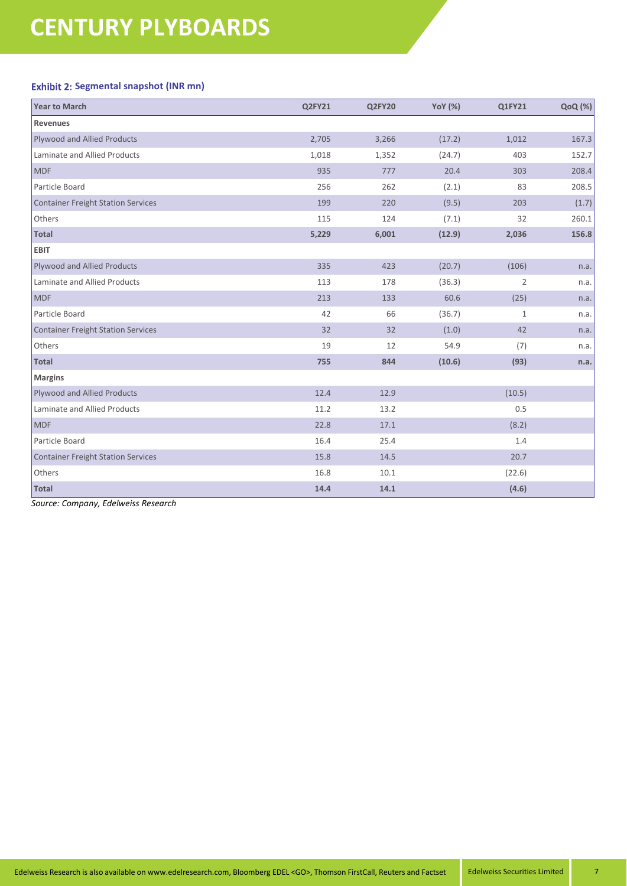## **Exhibit 2: Segmental snapshot (INR mn)**

| <b>Year to March</b>                      | Q2FY21 | Q2FY20 | <b>YoY</b> (%) | Q1FY21         | QoQ (%) |
|-------------------------------------------|--------|--------|----------------|----------------|---------|
| <b>Revenues</b>                           |        |        |                |                |         |
| Plywood and Allied Products               | 2,705  | 3,266  | (17.2)         | 1,012          | 167.3   |
| Laminate and Allied Products              | 1,018  | 1,352  | (24.7)         | 403            | 152.7   |
| <b>MDF</b>                                | 935    | 777    | 20.4           | 303            | 208.4   |
| Particle Board                            | 256    | 262    | (2.1)          | 83             | 208.5   |
| <b>Container Freight Station Services</b> | 199    | 220    | (9.5)          | 203            | (1.7)   |
| Others                                    | 115    | 124    | (7.1)          | 32             | 260.1   |
| <b>Total</b>                              | 5,229  | 6,001  | (12.9)         | 2,036          | 156.8   |
| <b>EBIT</b>                               |        |        |                |                |         |
| Plywood and Allied Products               | 335    | 423    | (20.7)         | (106)          | n.a.    |
| Laminate and Allied Products              | 113    | 178    | (36.3)         | $\overline{2}$ | n.a.    |
| <b>MDF</b>                                | 213    | 133    | 60.6           | (25)           | n.a.    |
| Particle Board                            | 42     | 66     | (36.7)         | $\mathbf{1}$   | n.a.    |
| <b>Container Freight Station Services</b> | 32     | 32     | (1.0)          | 42             | n.a.    |
| Others                                    | 19     | 12     | 54.9           | (7)            | n.a.    |
| <b>Total</b>                              | 755    | 844    | (10.6)         | (93)           | n.a.    |
| <b>Margins</b>                            |        |        |                |                |         |
| <b>Plywood and Allied Products</b>        | 12.4   | 12.9   |                | (10.5)         |         |
| Laminate and Allied Products              | 11.2   | 13.2   |                | 0.5            |         |
| <b>MDF</b>                                | 22.8   | 17.1   |                | (8.2)          |         |
| Particle Board                            | 16.4   | 25.4   |                | 1.4            |         |
| <b>Container Freight Station Services</b> | 15.8   | 14.5   |                | 20.7           |         |
| Others                                    | 16.8   | 10.1   |                | (22.6)         |         |
| <b>Total</b>                              | 14.4   | 14.1   |                | (4.6)          |         |

*Source: Company, Edelweiss Research*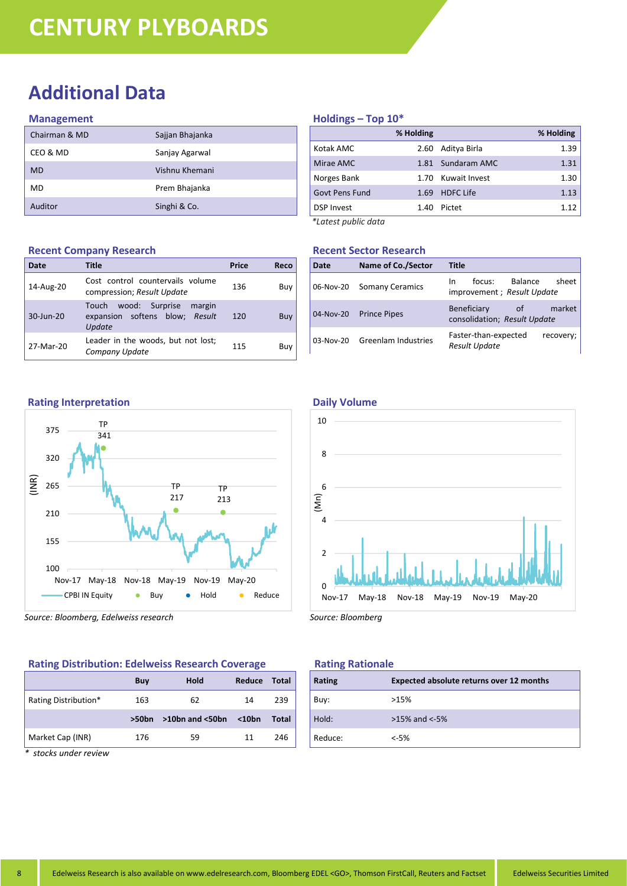# **Additional Data**

#### **Management**

| Chairman & MD | Sajjan Bhajanka |
|---------------|-----------------|
| CEO & MD      | Sanjay Agarwal  |
| <b>MD</b>     | Vishnu Khemani  |
| MD            | Prem Bhajanka   |
| Auditor       | Singhi & Co.    |

#### **Recent Company Research**

| Date      | Title                                                                         | <b>Price</b> | Reco |
|-----------|-------------------------------------------------------------------------------|--------------|------|
| 14-Aug-20 | Cost control countervails volume<br>compression; Result Update                | 136          | Buy  |
| 30-Jun-20 | wood: Surprise<br>Touch<br>margin<br>expansion softens blow; Result<br>Update | 120          | Buy  |
| 27-Mar-20 | Leader in the woods, but not lost;<br>Company Update                          | 115          | Buy  |

### **Holdings – Top 10\***

|                       | % Holding |                  | % Holding |
|-----------------------|-----------|------------------|-----------|
| Kotak AMC             | 2.60      | Aditya Birla     | 1.39      |
| Mirae AMC             | 1.81      | Sundaram AMC     | 1.31      |
| Norges Bank           | 1.70      | Kuwait Invest    | 1.30      |
| <b>Govt Pens Fund</b> | 1.69      | <b>HDFC Life</b> | 1.13      |
| <b>DSP Invest</b>     | 1.40      | Pictet           | 1.12      |
| *Latest public data   |           |                  |           |

## **Recent Sector Research**

| Date      | <b>Name of Co./Sector</b> | <b>Title</b>                                                      |
|-----------|---------------------------|-------------------------------------------------------------------|
|           | 06-Nov-20 Somany Ceramics | Balance<br>sheet  <br>focus:<br>In.<br>improvement; Result Update |
| 04-Nov-20 | <b>Prince Pipes</b>       | Beneficiary<br>market  <br>of _<br>consolidation; Result Update   |
| 03-Nov-20 | Greenlam Industries       | Faster-than-expected<br>recovery;<br><b>Result Update</b>         |





*Source: Bloomberg, Edelweiss research*

#### **Rating Distribution: Edelweiss Research Coverage**

|                      | Buy               | Hold                  | Reduce | <b>Total</b> |
|----------------------|-------------------|-----------------------|--------|--------------|
| Rating Distribution* | 163               | 62                    | 14     | 239          |
|                      | >50 <sub>bn</sub> | $>10$ bn and $<$ 50bn | $10bn$ | Total        |
| Market Cap (INR)     | 176               | 59                    | 11     | 246          |

*\* stocks under review*

#### **Daily Volume**



*Source: Bloomberg*

#### **Rating Rationale**

| <b>Rating</b> | <b>Expected absolute returns over 12 months</b> |
|---------------|-------------------------------------------------|
| Buy:          | >15%                                            |
| Hold:         | $>15\%$ and $< -5\%$                            |
| Reduce:       | $< -5%$                                         |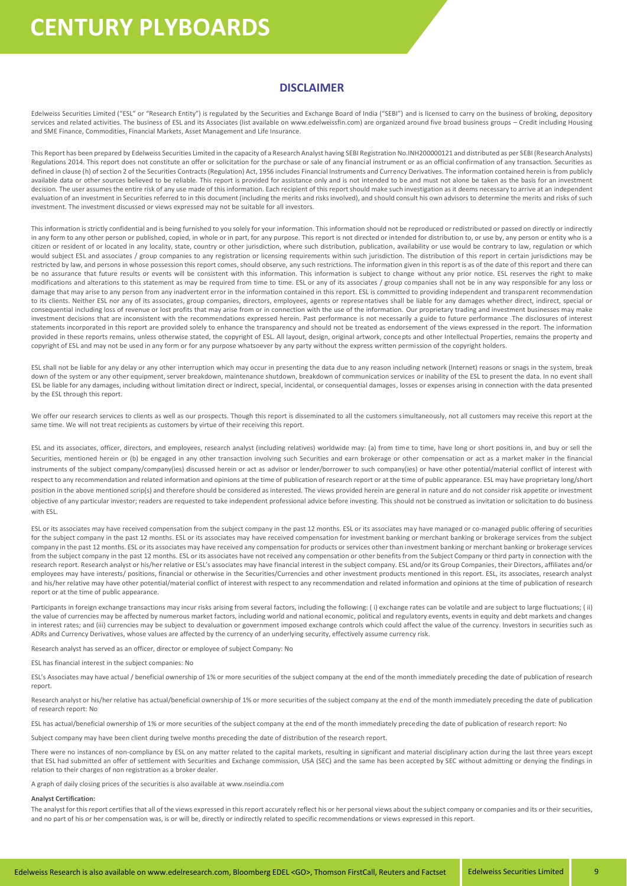#### **DISCLAIMER**

Edelweiss Securities Limited ("ESL" or "Research Entity") is regulated by the Securities and Exchange Board of India ("SEBI") and is licensed to carry on the business of broking, depository services and related activities. The business of ESL and its Associates (list available on www.edelweissfin.com) are organized around five broad business groups - Credit including Housing and SME Finance, Commodities, Financial Markets, Asset Management and Life Insurance.

This Report has been prepared by Edelweiss Securities Limited in the capacity of a Research Analyst having SEBI Registration No.INH200000121 and distributed as per SEBI (Research Analysts) Regulations 2014. This report does not constitute an offer or solicitation for the purchase or sale of any financial instrument or as an official confirmation of any transaction. Securities as defined in clause (h) of section 2 of the Securities Contracts (Regulation) Act, 1956 includes Financial Instruments and Currency Derivatives. The information contained herein is from publicly available data or other sources believed to be reliable. This report is provided for assistance only and is not intended to be and must not alone be taken as the basis for an investment decision. The user assumes the entire risk of any use made of this information. Each recipient of this report should make such investigation as it deems necessary to arrive at an independent evaluation of an investment in Securities referred to in this document (including the merits and risks involved), and should consult his own advisors to determine the merits and risks of such investment. The investment discussed or views expressed may not be suitable for all investors.

This information is strictly confidential and is being furnished to you solely for your information. This information should not be reproduced or redistributed or passed on directly or indirectly in any form to any other person or published, copied, in whole or in part, for any purpose. This report is not directed or intended for distribution to, or use by, any person or entity who is a citizen or resident of or located in any locality, state, country or other jurisdiction, where such distribution, publication, availability or use would be contrary to law, regulation or which would subject ESL and associates / group companies to any registration or licensing requirements within such jurisdiction. The distribution of this report in certain jurisdictions may be restricted by law, and persons in whose possession this report comes, should observe, any such restrictions. The information given in this report is as of the date of this report and there can be no assurance that future results or events will be consistent with this information. This information is subject to change without any prior notice. ESL reserves the right to make modifications and alterations to this statement as may be required from time to time. ESL or any of its associates / group companies shall not be in any way responsible for any loss or damage that may arise to any person from any inadvertent error in the information contained in this report. ESL is committed to providing independent and transparent recommendation to its clients. Neither ESL nor any of its associates, group companies, directors, employees, agents or representatives shall be liable for any damages whether direct, indirect, special or consequential including loss of revenue or lost profits that may arise from or in connection with the use of the information. Our proprietary trading and investment businesses may make investment decisions that are inconsistent with the recommendations expressed herein. Past performance is not necessarily a guide to future performance .The disclosures of interest statements incorporated in this report are provided solely to enhance the transparency and should not be treated as endorsement of the views expressed in the report. The information provided in these reports remains, unless otherwise stated, the copyright of ESL. All layout, design, original artwork, concepts and other Intellectual Properties, remains the property and copyright of ESL and may not be used in any form or for any purpose whatsoever by any party without the express written permission of the copyright holders.

ESL shall not be liable for any delay or any other interruption which may occur in presenting the data due to any reason including network (Internet) reasons or snags in the system, break down of the system or any other equipment, server breakdown, maintenance shutdown, breakdown of communication services or inability of the ESL to present the data. In no event shall ESL be liable for any damages, including without limitation direct or indirect, special, incidental, or consequential damages, losses or expenses arising in connection with the data presented by the ESL through this report.

We offer our research services to clients as well as our prospects. Though this report is disseminated to all the customers simultaneously, not all customers may receive this report at the same time. We will not treat recipients as customers by virtue of their receiving this report.

ESL and its associates, officer, directors, and employees, research analyst (including relatives) worldwide may: (a) from time to time, have long or short positions in, and buy or sell the Securities, mentioned herein or (b) be engaged in any other transaction involving such Securities and earn brokerage or other compensation or act as a market maker in the financial instruments of the subject company/company(ies) discussed herein or act as advisor or lender/borrower to such company(ies) or have other potential/material conflict of interest with respect to any recommendation and related information and opinions at the time of publication of research report or at the time of public appearance. ESL may have proprietary long/short position in the above mentioned scrip(s) and therefore should be considered as interested. The views provided herein are general in nature and do not consider risk appetite or investment objective of any particular investor; readers are requested to take independent professional advice before investing. This should not be construed as invitation or solicitation to do business with ESL.

ESL or its associates may have received compensation from the subject company in the past 12 months. ESL or its associates may have managed or co-managed public offering of securities for the subject company in the past 12 months. ESL or its associates may have received compensation for investment banking or merchant banking or brokerage services from the subject company in the past 12 months. ESL or its associates may have received any compensation for products or services other than investment banking or merchant banking or brokerage services from the subject company in the past 12 months. ESL or its associates have not received any compensation or other benefits from the Subject Company or third party in connection with the research report. Research analyst or his/her relative or ESL's associates may have financial interest in the subject company. ESL and/or its Group Companies, their Directors, affiliates and/or employees may have interests/ positions, financial or otherwise in the Securities/Currencies and other investment products mentioned in this report. ESL, its associates, research analyst and his/her relative may have other potential/material conflict of interest with respect to any recommendation and related information and opinions at the time of publication of research report or at the time of public appearance.

Participants in foreign exchange transactions may incur risks arising from several factors, including the following: (i) exchange rates can be volatile and are subject to large fluctuations; (ii) the value of currencies may be affected by numerous market factors, including world and national economic, political and regulatory events, events in equity and debt markets and changes in interest rates; and (iii) currencies may be subject to devaluation or government imposed exchange controls which could affect the value of the currency. Investors in securities such as ADRs and Currency Derivatives, whose values are affected by the currency of an underlying security, effectively assume currency risk.

Research analyst has served as an officer, director or employee of subject Company: No

ESL has financial interest in the subject companies: No

ESL's Associates may have actual / beneficial ownership of 1% or more securities of the subject company at the end of the month immediately preceding the date of publication of research report.

Research analyst or his/her relative has actual/beneficial ownership of 1% or more securities of the subject company at the end of the month immediately preceding the date of publication of research report: No

ESL has actual/beneficial ownership of 1% or more securities of the subject company at the end of the month immediately preceding the date of publication of research report: No

Subject company may have been client during twelve months preceding the date of distribution of the research report.

There were no instances of non-compliance by ESL on any matter related to the capital markets, resulting in significant and material disciplinary action during the last three years except that ESL had submitted an offer of settlement with Securities and Exchange commission, USA (SEC) and the same has been accepted by SEC without admitting or denying the findings in relation to their charges of non registration as a broker dealer.

A graph of daily closing prices of the securities is also available at www.nseindia.com

#### **Analyst Certification:**

The analyst for this report certifies that all of the views expressed in this report accurately reflect his or her personal views about the subject company or companies and its or their securities, and no part of his or her compensation was, is or will be, directly or indirectly related to specific recommendations or views expressed in this report.